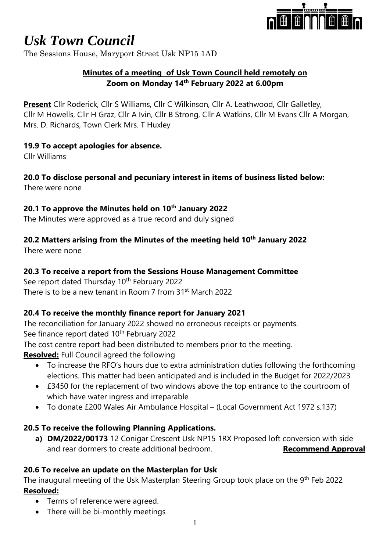

The Sessions House, Maryport Street Usk NP15 1AD

### **Minutes of a meeting of Usk Town Council held remotely on Zoom on Monday 14th February 2022 at 6.00pm**

**Present** Cllr Roderick, Cllr S Williams, Cllr C Wilkinson, Cllr A. Leathwood, Cllr Galletley, Cllr M Howells, Cllr H Graz, Cllr A Ivin, Cllr B Strong, Cllr A Watkins, Cllr M Evans Cllr A Morgan, Mrs. D. Richards, Town Clerk Mrs. T Huxley

### **19.9 To accept apologies for absence.**

Cllr Williams

# **20.0 To disclose personal and pecuniary interest in items of business listed below:**

There were none

### **20.1 To approve the Minutes held on 10th January 2022**

The Minutes were approved as a true record and duly signed

# **20.2 Matters arising from the Minutes of the meeting held 10th January 2022**

There were none

### **20.3 To receive a report from the Sessions House Management Committee**

See report dated Thursday 10<sup>th</sup> February 2022 There is to be a new tenant in Room 7 from 31st March 2022

### **20.4 To receive the monthly finance report for January 2021**

The reconciliation for January 2022 showed no erroneous receipts or payments. See finance report dated 10<sup>th</sup> February 2022

The cost centre report had been distributed to members prior to the meeting.

**Resolved:** Full Council agreed the following

- To increase the RFO's hours due to extra administration duties following the forthcoming elections. This matter had been anticipated and is included in the Budget for 2022/2023
- £3450 for the replacement of two windows above the top entrance to the courtroom of which have water ingress and irreparable
- To donate £200 Wales Air Ambulance Hospital (Local Government Act 1972 s.137)

# **20.5 To receive the following Planning Applications.**

**a) DM/2022/00173** 12 Conigar Crescent Usk NP15 1RX Proposed loft conversion with side and rear dormers to create additional bedroom. **Recommend Approval** 

# **20.6 To receive an update on the Masterplan for Usk**

The inaugural meeting of the Usk Masterplan Steering Group took place on the 9<sup>th</sup> Feb 2022 **Resolved:**

- Terms of reference were agreed.
- There will be bi-monthly meetings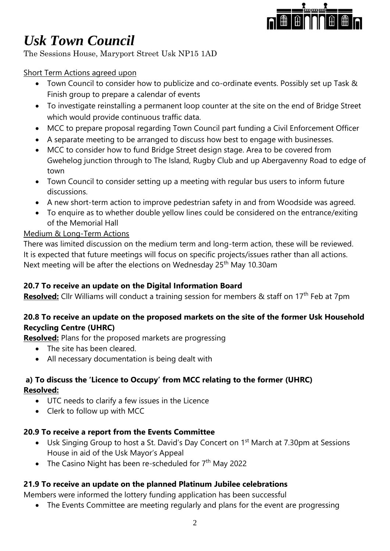

The Sessions House, Maryport Street Usk NP15 1AD

### Short Term Actions agreed upon

- Town Council to consider how to publicize and co-ordinate events. Possibly set up Task & Finish group to prepare a calendar of events
- To investigate reinstalling a permanent loop counter at the site on the end of Bridge Street which would provide continuous traffic data.
- MCC to prepare proposal regarding Town Council part funding a Civil Enforcement Officer
- A separate meeting to be arranged to discuss how best to engage with businesses.
- MCC to consider how to fund Bridge Street design stage. Area to be covered from Gwehelog junction through to The Island, Rugby Club and up Abergavenny Road to edge of town
- Town Council to consider setting up a meeting with regular bus users to inform future discussions.
- A new short-term action to improve pedestrian safety in and from Woodside was agreed.
- To enquire as to whether double yellow lines could be considered on the entrance/exiting of the Memorial Hall

# Medium & Long-Term Actions

There was limited discussion on the medium term and long-term action, these will be reviewed. It is expected that future meetings will focus on specific projects/issues rather than all actions. Next meeting will be after the elections on Wednesday 25<sup>th</sup> May 10.30am

# **20.7 To receive an update on the Digital Information Board**

**Resolved:** Cllr Williams will conduct a training session for members & staff on 17<sup>th</sup> Feb at 7pm

# **20.8 To receive an update on the proposed markets on the site of the former Usk Household Recycling Centre (UHRC)**

**Resolved:** Plans for the proposed markets are progressing

- The site has been cleared.
- All necessary documentation is being dealt with

# **a) To discuss the 'Licence to Occupy' from MCC relating to the former (UHRC) Resolved:**

- UTC needs to clarify a few issues in the Licence
- Clerk to follow up with MCC

# **20.9 To receive a report from the Events Committee**

- Usk Singing Group to host a St. David's Day Concert on 1<sup>st</sup> March at 7.30pm at Sessions House in aid of the Usk Mayor's Appeal
- The Casino Night has been re-scheduled for  $7<sup>th</sup>$  May 2022

# **21.9 To receive an update on the planned Platinum Jubilee celebrations**

Members were informed the lottery funding application has been successful

• The Events Committee are meeting regularly and plans for the event are progressing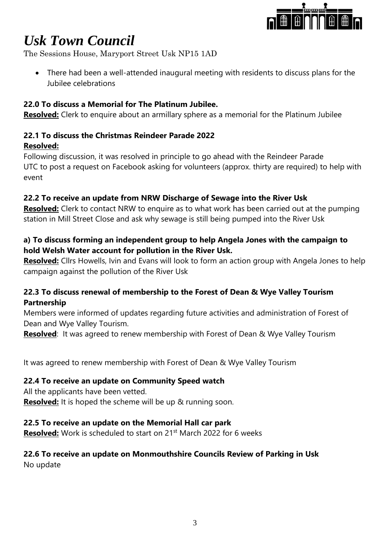

The Sessions House, Maryport Street Usk NP15 1AD

• There had been a well-attended inaugural meeting with residents to discuss plans for the Jubilee celebrations

### **22.0 To discuss a Memorial for The Platinum Jubilee.**

**Resolved:** Clerk to enquire about an armillary sphere as a memorial for the Platinum Jubilee

#### **22.1 To discuss the Christmas Reindeer Parade 2022 Resolved:**

Following discussion, it was resolved in principle to go ahead with the Reindeer Parade UTC to post a request on Facebook asking for volunteers (approx. thirty are required) to help with event

### **22.2 To receive an update from NRW Discharge of Sewage into the River Usk**

**Resolved:** Clerk to contact NRW to enquire as to what work has been carried out at the pumping station in Mill Street Close and ask why sewage is still being pumped into the River Usk

### **a) To discuss forming an independent group to help Angela Jones with the campaign to hold Welsh Water account for pollution in the River Usk.**

**Resolved:** Cllrs Howells, Ivin and Evans will look to form an action group with Angela Jones to help campaign against the pollution of the River Usk

### **22.3 To discuss renewal of membership to the Forest of Dean & Wye Valley Tourism Partnership**

Members were informed of updates regarding future activities and administration of Forest of Dean and Wye Valley Tourism.

**Resolved**: It was agreed to renew membership with Forest of Dean & Wye Valley Tourism

It was agreed to renew membership with Forest of Dean & Wye Valley Tourism

#### **22.4 To receive an update on Community Speed watch**

All the applicants have been vetted.

**Resolved:** It is hoped the scheme will be up & running soon.

#### **22.5 To receive an update on the Memorial Hall car park**

**Resolved:** Work is scheduled to start on 21<sup>st</sup> March 2022 for 6 weeks

### **22.6 To receive an update on Monmouthshire Councils Review of Parking in Usk** No update